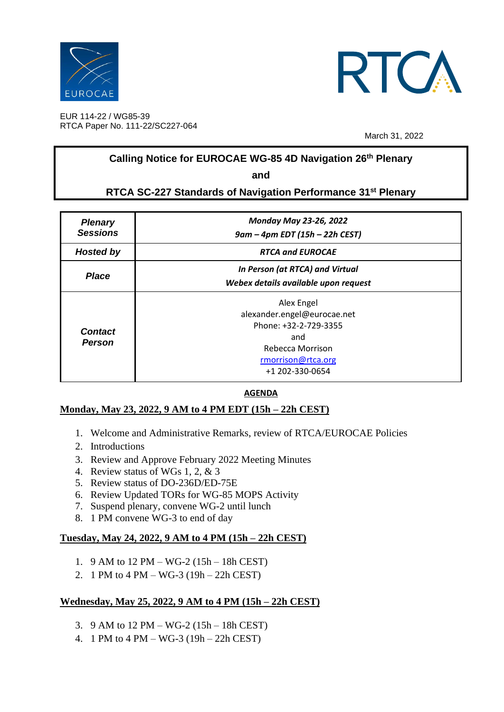



EUR 114-22 / WG85-39 RTCA Paper No. 111-22/SC227-064

March 31, 2022

## **Calling Notice for EUROCAE WG-85 4D Navigation 26 th Plenary**

**and**

## **RTCA SC-227 Standards of Navigation Performance 31 st Plenary**

| <b>Plenary</b><br><b>Sessions</b> | <b>Monday May 23-26, 2022</b><br>9am – 4pm EDT (15h – 22h CEST)                                                                        |
|-----------------------------------|----------------------------------------------------------------------------------------------------------------------------------------|
| <b>Hosted by</b>                  | <b>RTCA and EUROCAE</b>                                                                                                                |
| <b>Place</b>                      | In Person (at RTCA) and Virtual<br>Webex details available upon request                                                                |
| <b>Contact</b><br>Person          | Alex Engel<br>alexander.engel@eurocae.net<br>Phone: +32-2-729-3355<br>and<br>Rebecca Morrison<br>rmorrison@rtca.org<br>+1 202-330-0654 |

#### **AGENDA**

#### **Monday, May 23, 2022, 9 AM to 4 PM EDT (15h – 22h CEST)**

- 1. Welcome and Administrative Remarks, review of RTCA/EUROCAE Policies
- 2. Introductions
- 3. Review and Approve February 2022 Meeting Minutes
- 4. Review status of WGs 1, 2, & 3
- 5. Review status of DO-236D/ED-75E
- 6. Review Updated TORs for WG-85 MOPS Activity
- 7. Suspend plenary, convene WG-2 until lunch
- 8. 1 PM convene WG-3 to end of day

#### **Tuesday, May 24, 2022, 9 AM to 4 PM (15h – 22h CEST)**

- 1. 9 AM to 12 PM WG-2 (15h 18h CEST)
- 2. 1 PM to 4 PM WG-3 (19h 22h CEST)

#### **Wednesday, May 25, 2022, 9 AM to 4 PM (15h – 22h CEST)**

- 3. 9 AM to 12 PM WG-2 (15h 18h CEST)
- 4. 1 PM to 4 PM WG-3 (19h 22h CEST)